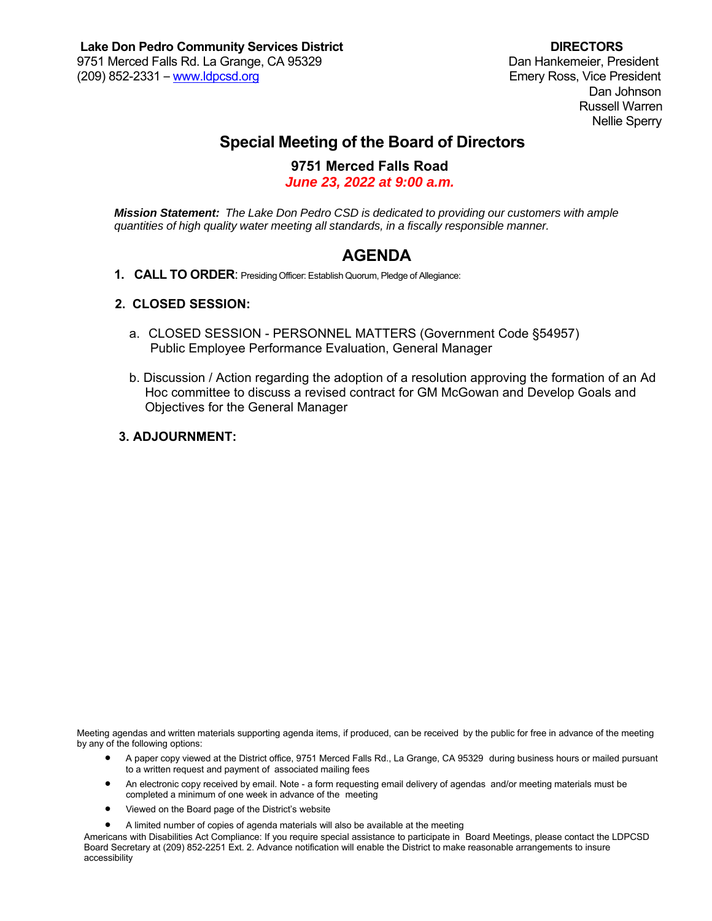Dan Johnson Russell Warren Nellie Sperry

# **Special Meeting of the Board of Directors**

### **9751 Merced Falls Road**

*June 23, 2022 at 9:00 a.m.* 

*Mission Statement: The Lake Don Pedro CSD is dedicated to providing our customers with ample quantities of high quality water meeting all standards, in a fiscally responsible manner.* 

## **AGENDA**

**1. CALL TO ORDER**: Presiding Officer: Establish Quorum, Pledge of Allegiance:

#### **2. CLOSED SESSION:**

- a. CLOSED SESSION PERSONNEL MATTERS (Government Code §54957) Public Employee Performance Evaluation, General Manager
- b. Discussion / Action regarding the adoption of a resolution approving the formation of an Ad Hoc committee to discuss a revised contract for GM McGowan and Develop Goals and Objectives for the General Manager

#### **3. ADJOURNMENT:**

Meeting agendas and written materials supporting agenda items, if produced, can be received by the public for free in advance of the meeting by any of the following options:

- A paper copy viewed at the District office, 9751 Merced Falls Rd., La Grange, CA 95329 during business hours or mailed pursuant to a written request and payment of associated mailing fees
- An electronic copy received by email. Note a form requesting email delivery of agendas and/or meeting materials must be completed a minimum of one week in advance of the meeting
- Viewed on the Board page of the District's website
- A limited number of copies of agenda materials will also be available at the meeting

Americans with Disabilities Act Compliance: If you require special assistance to participate in Board Meetings, please contact the LDPCSD Board Secretary at (209) 852-2251 Ext. 2. Advance notification will enable the District to make reasonable arrangements to insure accessibility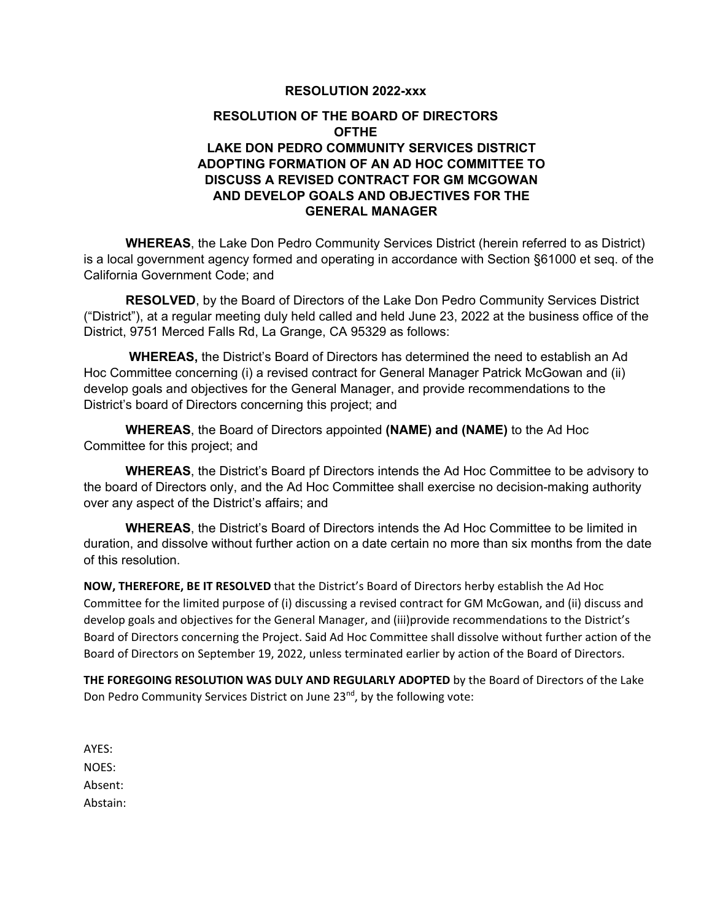#### **RESOLUTION 2022-xxx**

### **RESOLUTION OF THE BOARD OF DIRECTORS OFTHE LAKE DON PEDRO COMMUNITY SERVICES DISTRICT ADOPTING FORMATION OF AN AD HOC COMMITTEE TO DISCUSS A REVISED CONTRACT FOR GM MCGOWAN AND DEVELOP GOALS AND OBJECTIVES FOR THE GENERAL MANAGER**

 **WHEREAS**, the Lake Don Pedro Community Services District (herein referred to as District) is a local government agency formed and operating in accordance with Section §61000 et seq. of the California Government Code; and

 **RESOLVED**, by the Board of Directors of the Lake Don Pedro Community Services District ("District"), at a regular meeting duly held called and held June 23, 2022 at the business office of the District, 9751 Merced Falls Rd, La Grange, CA 95329 as follows:

 **WHEREAS,** the District's Board of Directors has determined the need to establish an Ad Hoc Committee concerning (i) a revised contract for General Manager Patrick McGowan and (ii) develop goals and objectives for the General Manager, and provide recommendations to the District's board of Directors concerning this project; and

 **WHEREAS**, the Board of Directors appointed **(NAME) and (NAME)** to the Ad Hoc Committee for this project; and

 **WHEREAS**, the District's Board pf Directors intends the Ad Hoc Committee to be advisory to the board of Directors only, and the Ad Hoc Committee shall exercise no decision-making authority over any aspect of the District's affairs; and

 **WHEREAS**, the District's Board of Directors intends the Ad Hoc Committee to be limited in duration, and dissolve without further action on a date certain no more than six months from the date of this resolution.

**NOW, THEREFORE, BE IT RESOLVED** that the District's Board of Directors herby establish the Ad Hoc Committee for the limited purpose of (i) discussing a revised contract for GM McGowan, and (ii) discuss and develop goals and objectives for the General Manager, and (iii)provide recommendations to the District's Board of Directors concerning the Project. Said Ad Hoc Committee shall dissolve without further action of the Board of Directors on September 19, 2022, unless terminated earlier by action of the Board of Directors.

**THE FOREGOING RESOLUTION WAS DULY AND REGULARLY ADOPTED** by the Board of Directors of the Lake Don Pedro Community Services District on June 23<sup>nd</sup>, by the following vote:

AYES: NOES: Absent: Abstain: